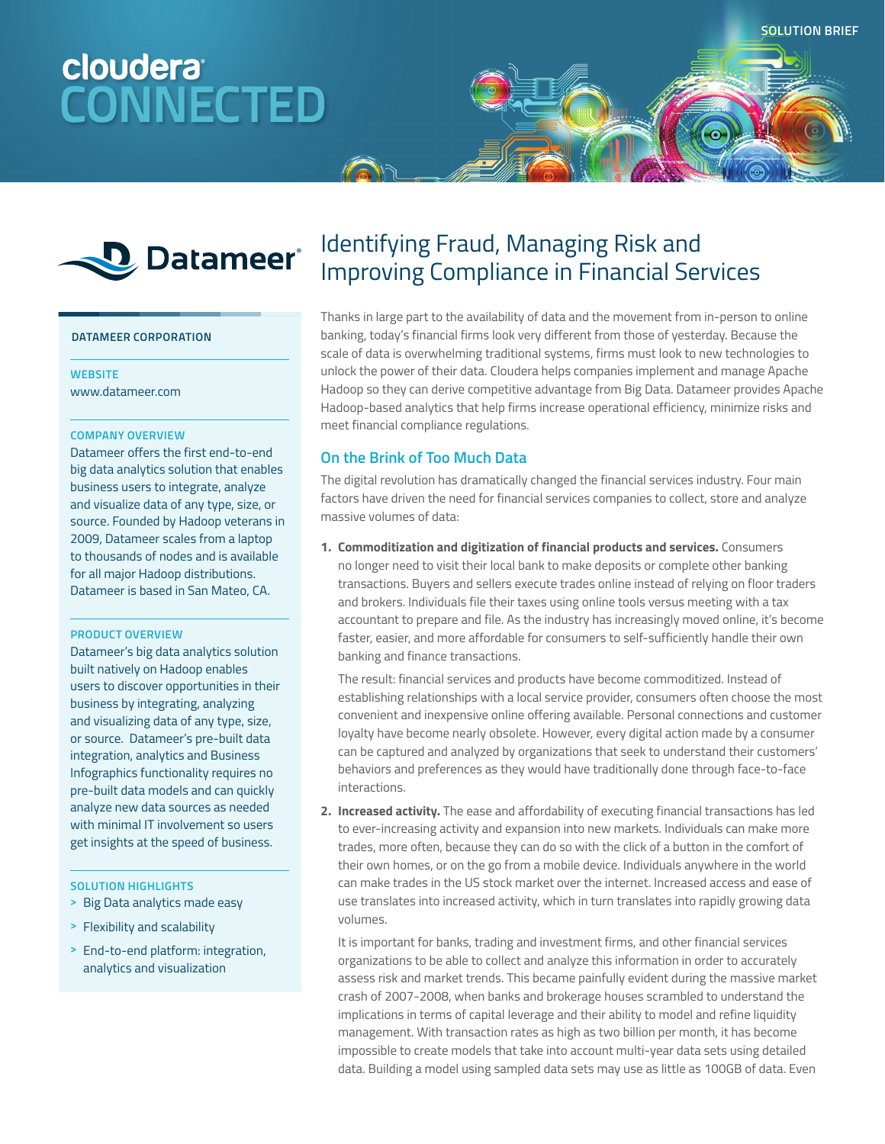# cloudera<sup>®</sup> **CONNECTED**



#### **DATAMEER CORPORATION**

# **WEBSITE**

www.datameer.com

### **COMPANY OVERVIEW**

Datameer offers the first end-to-end big data analytics solution that enables business users to integrate, analyze and visualize data of any type, size, or source. Founded by Hadoop veterans in 2009, Datameer scales from a laptop to thousands of nodes and is available for all major Hadoop distributions. Datameer is based in San Mateo, CA.

# **PRODUCT OVERVIEW**

Datameer's big data analytics solution built natively on Hadoop enables users to discover opportunities in their business by integrating, analyzing and visualizing data of any type, size, or source. Datameer's pre-built data integration, analytics and Business Infographics functionality requires no pre-built data models and can quickly analyze new data sources as needed with minimal IT involvement so users get insights at the speed of business.

#### **SOLUTION HIGHLIGHTS**

**>** Big Data analytics made easy

- **>** Flexibility and scalability
- **>** End-to-end platform: integration, analytics and visualization

# Identifying Fraud, Managing Risk and Improving Compliance in Financial Services

Thanks in large part to the availability of data and the movement from in-person to online banking, today's financial firms look very different from those of yesterday. Because the scale of data is overwhelming traditional systems, firms must look to new technologies to unlock the power of their data. Cloudera helps companies implement and manage Apache Hadoop so they can derive competitive advantage from Big Data. Datameer provides Apache Hadoop-based analytics that help firms increase operational efficiency, minimize risks and meet financial compliance regulations.

# **On the Brink of Too Much Data**

The digital revolution has dramatically changed the financial services industry. Four main factors have driven the need for financial services companies to collect, store and analyze massive volumes of data:

**1. Commoditization and digitization of financial products and services.** Consumers no longer need to visit their local bank to make deposits or complete other banking transactions. Buyers and sellers execute trades online instead of relying on floor traders and brokers. Individuals file their taxes using online tools versus meeting with a tax accountant to prepare and file. As the industry has increasingly moved online, it's become faster, easier, and more affordable for consumers to self-sufficiently handle their own banking and finance transactions.

The result: financial services and products have become commoditized. Instead of establishing relationships with a local service provider, consumers often choose the most convenient and inexpensive online offering available. Personal connections and customer loyalty have become nearly obsolete. However, every digital action made by a consumer can be captured and analyzed by organizations that seek to understand their customers' behaviors and preferences as they would have traditionally done through face-to-face interactions.

**2. Increased activity.** The ease and affordability of executing financial transactions has led to ever-increasing activity and expansion into new markets. Individuals can make more trades, more often, because they can do so with the click of a button in the comfort of their own homes, or on the go from a mobile device. Individuals anywhere in the world can make trades in the US stock market over the internet. Increased access and ease of use translates into increased activity, which in turn translates into rapidly growing data volumes.

It is important for banks, trading and investment firms, and other financial services organizations to be able to collect and analyze this information in order to accurately assess risk and market trends. This became painfully evident during the massive market crash of 2007-2008, when banks and brokerage houses scrambled to understand the implications in terms of capital leverage and their ability to model and refine liquidity management. With transaction rates as high as two billion per month, it has become impossible to create models that take into account multi-year data sets using detailed data. Building a model using sampled data sets may use as little as 100GB of data. Even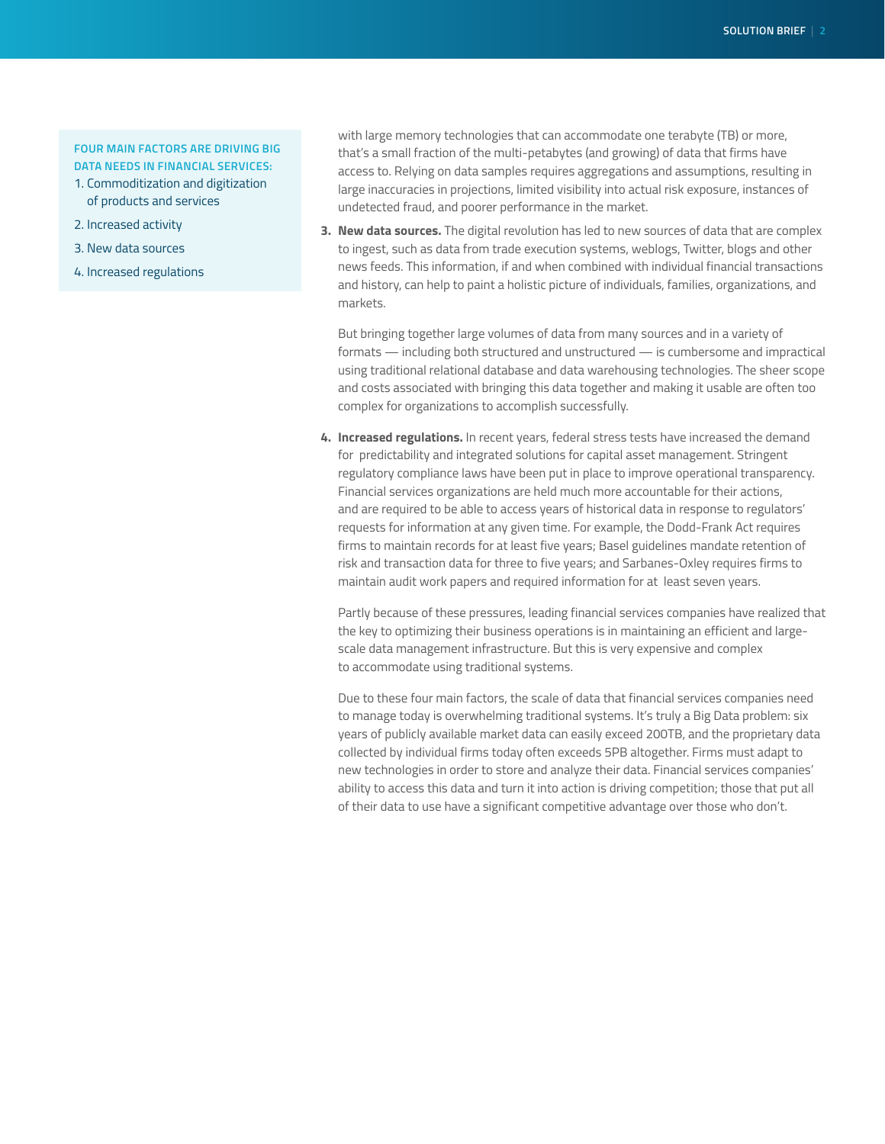# **FOUR MAIN FACTORS ARE DRIVING BIG DATA NEEDS IN FINANCIAL SERVICES:**

- 1. Commoditization and digitization of products and services
- 2. Increased activity
- 3. New data sources
- 4. Increased regulations

with large memory technologies that can accommodate one terabyte (TB) or more, that's a small fraction of the multi-petabytes (and growing) of data that firms have access to. Relying on data samples requires aggregations and assumptions, resulting in large inaccuracies in projections, limited visibility into actual risk exposure, instances of undetected fraud, and poorer performance in the market.

**3. New data sources.** The digital revolution has led to new sources of data that are complex to ingest, such as data from trade execution systems, weblogs, Twitter, blogs and other news feeds. This information, if and when combined with individual financial transactions and history, can help to paint a holistic picture of individuals, families, organizations, and markets.

But bringing together large volumes of data from many sources and in a variety of formats — including both structured and unstructured — is cumbersome and impractical using traditional relational database and data warehousing technologies. The sheer scope and costs associated with bringing this data together and making it usable are often too complex for organizations to accomplish successfully.

**4. Increased regulations.** In recent years, federal stress tests have increased the demand for predictability and integrated solutions for capital asset management. Stringent regulatory compliance laws have been put in place to improve operational transparency. Financial services organizations are held much more accountable for their actions, and are required to be able to access years of historical data in response to regulators' requests for information at any given time. For example, the Dodd-Frank Act requires firms to maintain records for at least five years; Basel guidelines mandate retention of risk and transaction data for three to five years; and Sarbanes-Oxley requires firms to maintain audit work papers and required information for at least seven years.

 Partly because of these pressures, leading financial services companies have realized that the key to optimizing their business operations is in maintaining an efficient and largescale data management infrastructure. But this is very expensive and complex to accommodate using traditional systems.

Due to these four main factors, the scale of data that financial services companies need to manage today is overwhelming traditional systems. It's truly a Big Data problem: six years of publicly available market data can easily exceed 200TB, and the proprietary data collected by individual firms today often exceeds 5PB altogether. Firms must adapt to new technologies in order to store and analyze their data. Financial services companies' ability to access this data and turn it into action is driving competition; those that put all of their data to use have a significant competitive advantage over those who don't.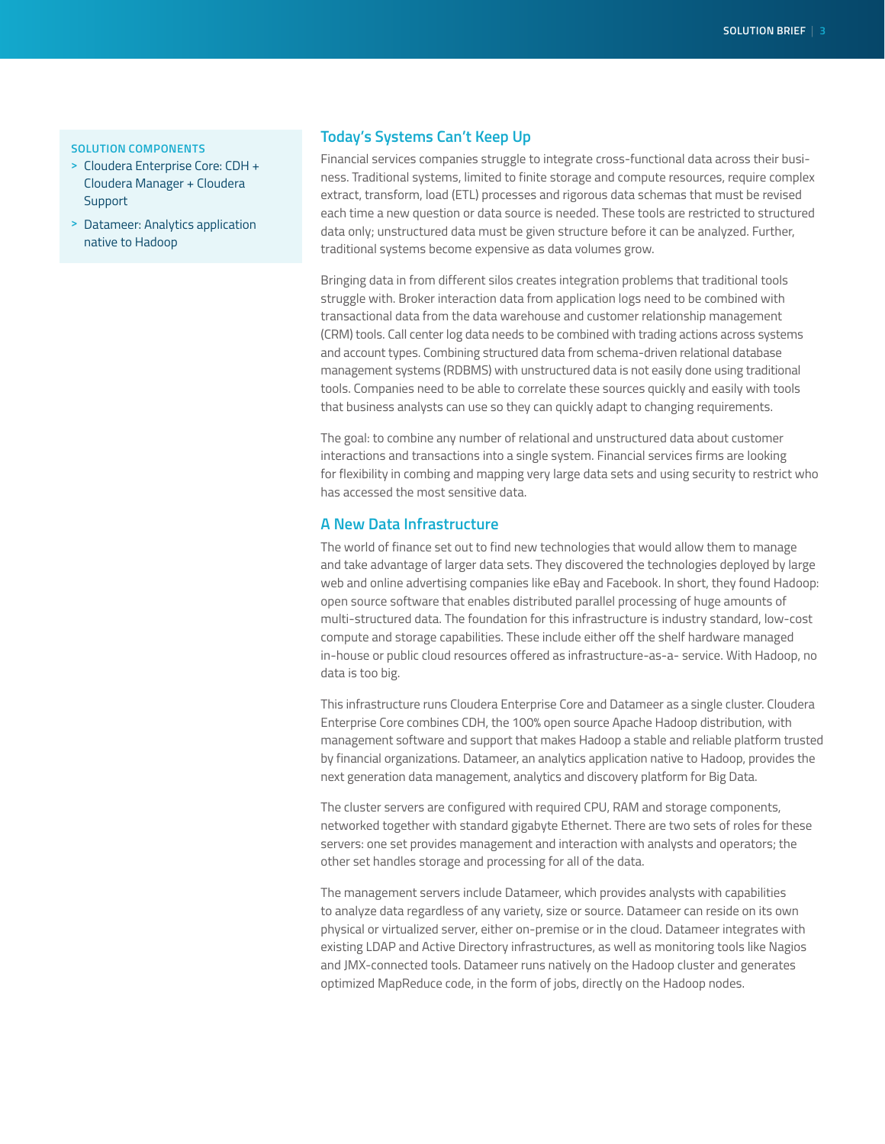### **SOLUTION COMPONENTS**

- **>** Cloudera Enterprise Core: CDH + Cloudera Manager + Cloudera **Support**
- **>** Datameer: Analytics application native to Hadoop

# **Today's Systems Can't Keep Up**

Financial services companies struggle to integrate cross-functional data across their business. Traditional systems, limited to finite storage and compute resources, require complex extract, transform, load (ETL) processes and rigorous data schemas that must be revised each time a new question or data source is needed. These tools are restricted to structured data only; unstructured data must be given structure before it can be analyzed. Further, traditional systems become expensive as data volumes grow.

Bringing data in from different silos creates integration problems that traditional tools struggle with. Broker interaction data from application logs need to be combined with transactional data from the data warehouse and customer relationship management (CRM) tools. Call center log data needs to be combined with trading actions across systems and account types. Combining structured data from schema-driven relational database management systems (RDBMS) with unstructured data is not easily done using traditional tools. Companies need to be able to correlate these sources quickly and easily with tools that business analysts can use so they can quickly adapt to changing requirements.

The goal: to combine any number of relational and unstructured data about customer interactions and transactions into a single system. Financial services firms are looking for flexibility in combing and mapping very large data sets and using security to restrict who has accessed the most sensitive data.

# **A New Data Infrastructure**

The world of finance set out to find new technologies that would allow them to manage and take advantage of larger data sets. They discovered the technologies deployed by large web and online advertising companies like eBay and Facebook. In short, they found Hadoop: open source software that enables distributed parallel processing of huge amounts of multi-structured data. The foundation for this infrastructure is industry standard, low-cost compute and storage capabilities. These include either off the shelf hardware managed in-house or public cloud resources offered as infrastructure-as-a- service. With Hadoop, no data is too big.

This infrastructure runs Cloudera Enterprise Core and Datameer as a single cluster. Cloudera Enterprise Core combines CDH, the 100% open source Apache Hadoop distribution, with management software and support that makes Hadoop a stable and reliable platform trusted by financial organizations. Datameer, an analytics application native to Hadoop, provides the next generation data management, analytics and discovery platform for Big Data.

The cluster servers are configured with required CPU, RAM and storage components, networked together with standard gigabyte Ethernet. There are two sets of roles for these servers: one set provides management and interaction with analysts and operators; the other set handles storage and processing for all of the data.

The management servers include Datameer, which provides analysts with capabilities to analyze data regardless of any variety, size or source. Datameer can reside on its own physical or virtualized server, either on-premise or in the cloud. Datameer integrates with existing LDAP and Active Directory infrastructures, as well as monitoring tools like Nagios and JMX-connected tools. Datameer runs natively on the Hadoop cluster and generates optimized MapReduce code, in the form of jobs, directly on the Hadoop nodes.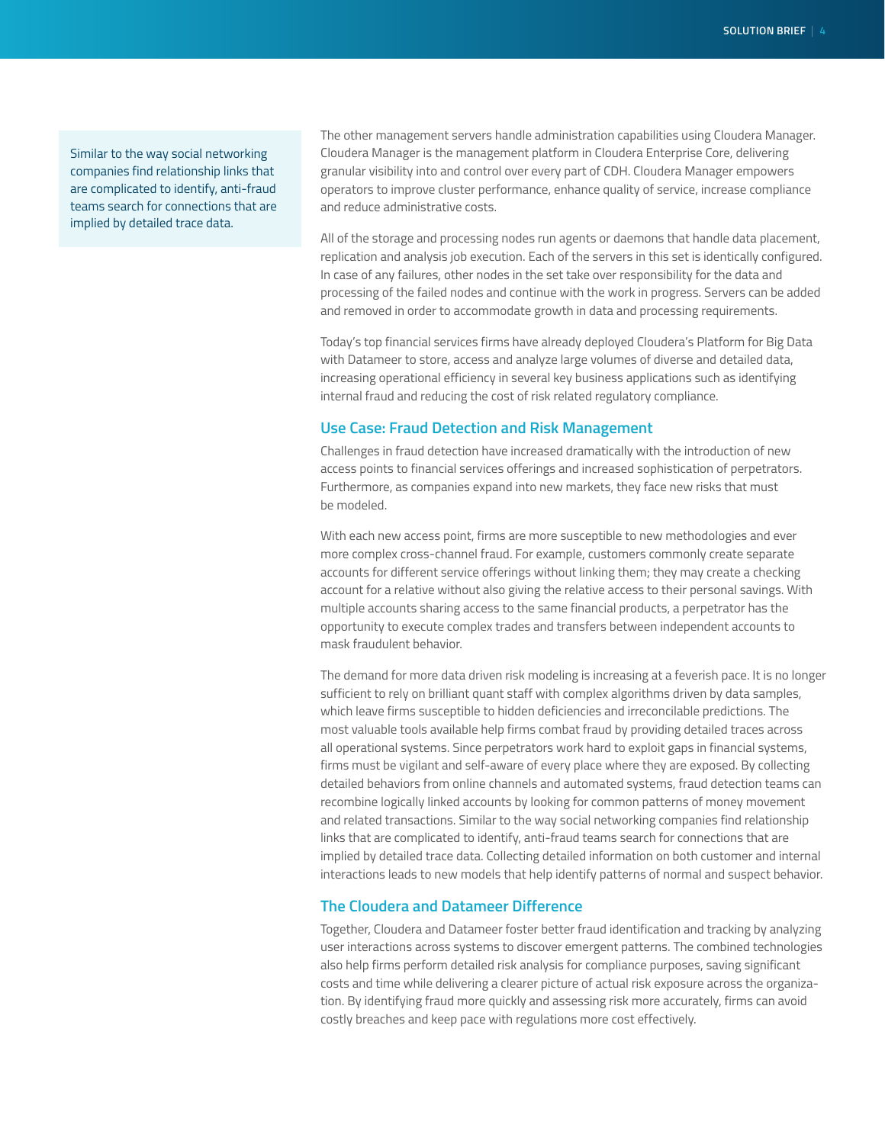Similar to the way social networking companies find relationship links that are complicated to identify, anti-fraud teams search for connections that are implied by detailed trace data.

The other management servers handle administration capabilities using Cloudera Manager. Cloudera Manager is the management platform in Cloudera Enterprise Core, delivering granular visibility into and control over every part of CDH. Cloudera Manager empowers operators to improve cluster performance, enhance quality of service, increase compliance and reduce administrative costs.

All of the storage and processing nodes run agents or daemons that handle data placement, replication and analysis job execution. Each of the servers in this set is identically configured. In case of any failures, other nodes in the set take over responsibility for the data and processing of the failed nodes and continue with the work in progress. Servers can be added and removed in order to accommodate growth in data and processing requirements.

Today's top financial services firms have already deployed Cloudera's Platform for Big Data with Datameer to store, access and analyze large volumes of diverse and detailed data, increasing operational efficiency in several key business applications such as identifying internal fraud and reducing the cost of risk related regulatory compliance.

# **Use Case: Fraud Detection and Risk Management**

Challenges in fraud detection have increased dramatically with the introduction of new access points to financial services offerings and increased sophistication of perpetrators. Furthermore, as companies expand into new markets, they face new risks that must be modeled.

With each new access point, firms are more susceptible to new methodologies and ever more complex cross-channel fraud. For example, customers commonly create separate accounts for different service offerings without linking them; they may create a checking account for a relative without also giving the relative access to their personal savings. With multiple accounts sharing access to the same financial products, a perpetrator has the opportunity to execute complex trades and transfers between independent accounts to mask fraudulent behavior.

The demand for more data driven risk modeling is increasing at a feverish pace. It is no longer sufficient to rely on brilliant quant staff with complex algorithms driven by data samples, which leave firms susceptible to hidden deficiencies and irreconcilable predictions. The most valuable tools available help firms combat fraud by providing detailed traces across all operational systems. Since perpetrators work hard to exploit gaps in financial systems, firms must be vigilant and self-aware of every place where they are exposed. By collecting detailed behaviors from online channels and automated systems, fraud detection teams can recombine logically linked accounts by looking for common patterns of money movement and related transactions. Similar to the way social networking companies find relationship links that are complicated to identify, anti-fraud teams search for connections that are implied by detailed trace data. Collecting detailed information on both customer and internal interactions leads to new models that help identify patterns of normal and suspect behavior.

# **The Cloudera and Datameer Difference**

Together, Cloudera and Datameer foster better fraud identification and tracking by analyzing user interactions across systems to discover emergent patterns. The combined technologies also help firms perform detailed risk analysis for compliance purposes, saving significant costs and time while delivering a clearer picture of actual risk exposure across the organization. By identifying fraud more quickly and assessing risk more accurately, firms can avoid costly breaches and keep pace with regulations more cost effectively.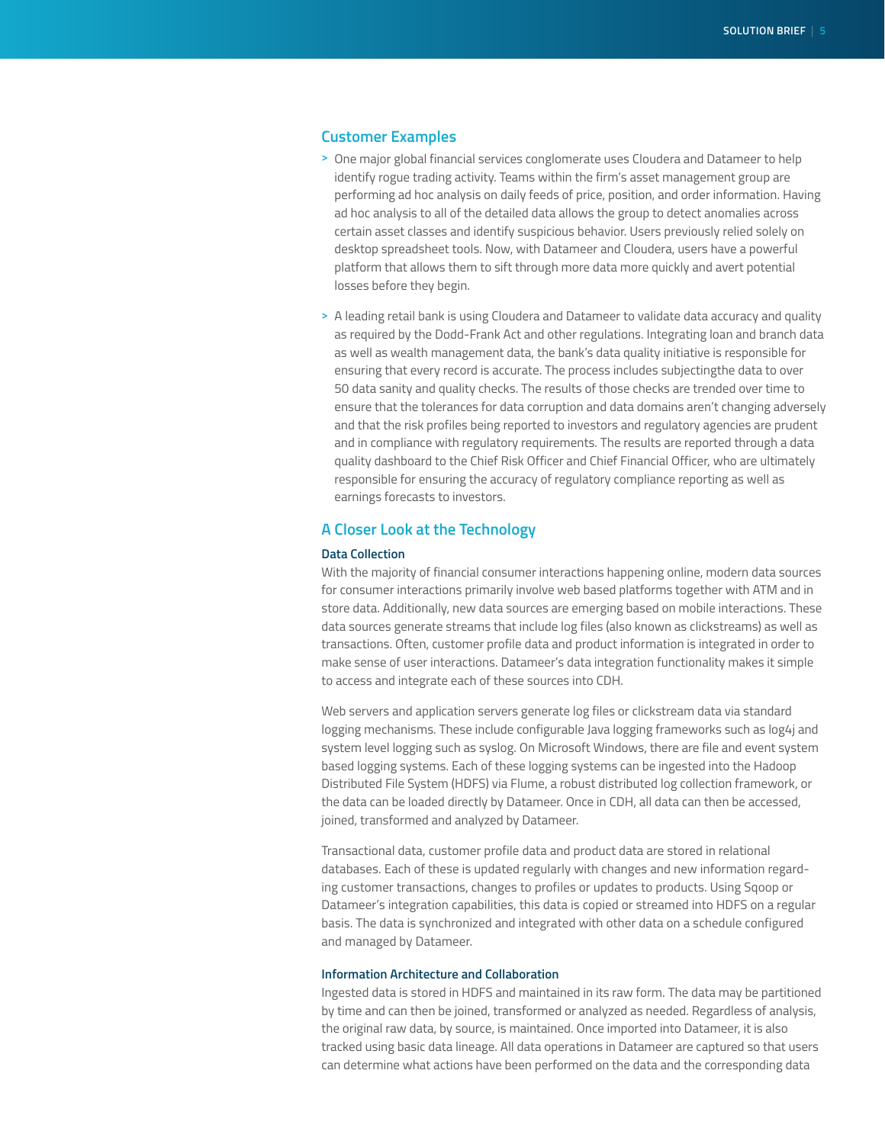# **Customer Examples**

- **>** One major global financial services conglomerate uses Cloudera and Datameer to help identify rogue trading activity. Teams within the firm's asset management group are performing ad hoc analysis on daily feeds of price, position, and order information. Having ad hoc analysis to all of the detailed data allows the group to detect anomalies across certain asset classes and identify suspicious behavior. Users previously relied solely on desktop spreadsheet tools. Now, with Datameer and Cloudera, users have a powerful platform that allows them to sift through more data more quickly and avert potential losses before they begin.
- **>** A leading retail bank is using Cloudera and Datameer to validate data accuracy and quality as required by the Dodd-Frank Act and other regulations. Integrating loan and branch data as well as wealth management data, the bank's data quality initiative is responsible for ensuring that every record is accurate. The process includes subjectingthe data to over 50 data sanity and quality checks. The results of those checks are trended over time to ensure that the tolerances for data corruption and data domains aren't changing adversely and that the risk profiles being reported to investors and regulatory agencies are prudent and in compliance with regulatory requirements. The results are reported through a data quality dashboard to the Chief Risk Officer and Chief Financial Officer, who are ultimately responsible for ensuring the accuracy of regulatory compliance reporting as well as earnings forecasts to investors.

# **A Closer Look at the Technology**

# **Data Collection**

With the majority of financial consumer interactions happening online, modern data sources for consumer interactions primarily involve web based platforms together with ATM and in store data. Additionally, new data sources are emerging based on mobile interactions. These data sources generate streams that include log files (also known as clickstreams) as well as transactions. Often, customer profile data and product information is integrated in order to make sense of user interactions. Datameer's data integration functionality makes it simple to access and integrate each of these sources into CDH.

Web servers and application servers generate log files or clickstream data via standard logging mechanisms. These include configurable Java logging frameworks such as log4j and system level logging such as syslog. On Microsoft Windows, there are file and event system based logging systems. Each of these logging systems can be ingested into the Hadoop Distributed File System (HDFS) via Flume, a robust distributed log collection framework, or the data can be loaded directly by Datameer. Once in CDH, all data can then be accessed, joined, transformed and analyzed by Datameer.

Transactional data, customer profile data and product data are stored in relational databases. Each of these is updated regularly with changes and new information regarding customer transactions, changes to profiles or updates to products. Using Sqoop or Datameer's integration capabilities, this data is copied or streamed into HDFS on a regular basis. The data is synchronized and integrated with other data on a schedule configured and managed by Datameer.

#### **Information Architecture and Collaboration**

Ingested data is stored in HDFS and maintained in its raw form. The data may be partitioned by time and can then be joined, transformed or analyzed as needed. Regardless of analysis, the original raw data, by source, is maintained. Once imported into Datameer, it is also tracked using basic data lineage. All data operations in Datameer are captured so that users can determine what actions have been performed on the data and the corresponding data